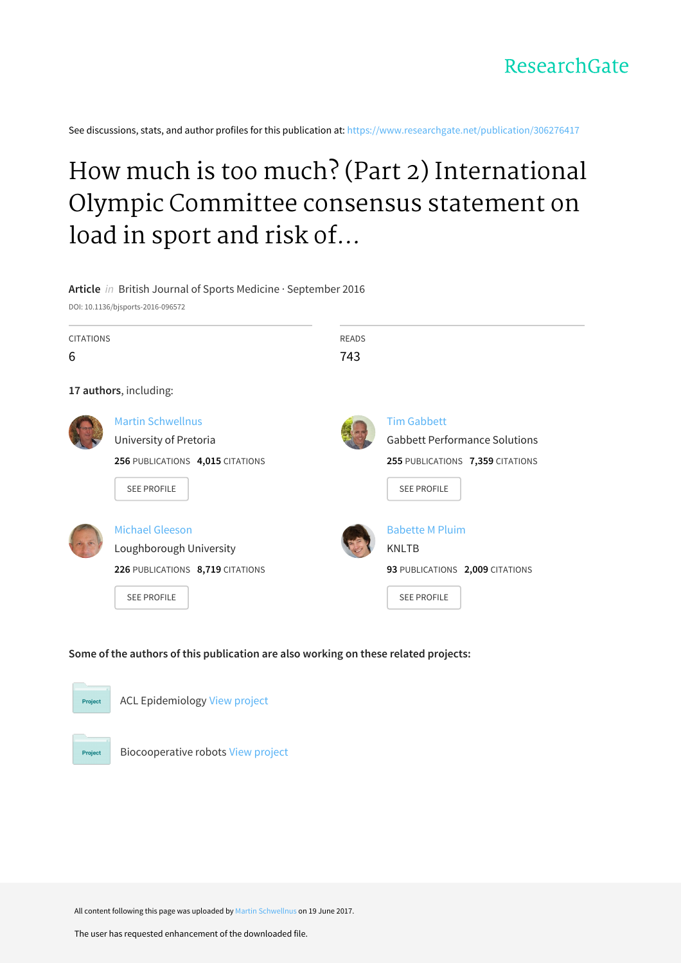See discussions, stats, and author profiles for this publication at: [https://www.researchgate.net/publication/306276417](https://www.researchgate.net/publication/306276417_How_much_is_too_much_Part_2_International_Olympic_Committee_consensus_statement_on_load_in_sport_and_risk_of_illness?enrichId=rgreq-63e0039016002bd256fc3243108616f6-XXX&enrichSource=Y292ZXJQYWdlOzMwNjI3NjQxNztBUzo1MDY5NDMxODI3NzQyNzJAMTQ5Nzg3NjA4MTMyOA%3D%3D&el=1_x_2&_esc=publicationCoverPdf)

# How much is too much? (Part 2) International Olympic Committee consensus statement on load in sport and risk of...

#### **Article** in British Journal of Sports Medicine · September 2016

DOI: 10.1136/bjsports-2016-096572

| <b>CITATIONS</b><br>6 |                                                                                                              | <b>READS</b><br>743 |                                                                                                                      |
|-----------------------|--------------------------------------------------------------------------------------------------------------|---------------------|----------------------------------------------------------------------------------------------------------------------|
|                       | 17 authors, including:                                                                                       |                     |                                                                                                                      |
|                       | <b>Martin Schwellnus</b><br>University of Pretoria<br>256 PUBLICATIONS 4,015 CITATIONS<br><b>SEE PROFILE</b> |                     | <b>Tim Gabbett</b><br><b>Gabbett Performance Solutions</b><br>255 PUBLICATIONS 7,359 CITATIONS<br><b>SEE PROFILE</b> |
|                       | <b>Michael Gleeson</b><br>Loughborough University<br>226 PUBLICATIONS 8,719 CITATIONS<br><b>SEE PROFILE</b>  |                     | <b>Babette M Pluim</b><br><b>KNLTB</b><br>93 PUBLICATIONS 2,009 CITATIONS<br><b>SEE PROFILE</b>                      |

#### **Some of the authors of this publication are also working on these related projects:**



ACL Epidemiology View [project](https://www.researchgate.net/project/ACL-Epidemiology?enrichId=rgreq-63e0039016002bd256fc3243108616f6-XXX&enrichSource=Y292ZXJQYWdlOzMwNjI3NjQxNztBUzo1MDY5NDMxODI3NzQyNzJAMTQ5Nzg3NjA4MTMyOA%3D%3D&el=1_x_9&_esc=publicationCoverPdf)



Biocooperative robots View [project](https://www.researchgate.net/project/Biocooperative-robots?enrichId=rgreq-63e0039016002bd256fc3243108616f6-XXX&enrichSource=Y292ZXJQYWdlOzMwNjI3NjQxNztBUzo1MDY5NDMxODI3NzQyNzJAMTQ5Nzg3NjA4MTMyOA%3D%3D&el=1_x_9&_esc=publicationCoverPdf)

All content following this page was uploaded by Martin [Schwellnus](https://www.researchgate.net/profile/Martin_Schwellnus?enrichId=rgreq-63e0039016002bd256fc3243108616f6-XXX&enrichSource=Y292ZXJQYWdlOzMwNjI3NjQxNztBUzo1MDY5NDMxODI3NzQyNzJAMTQ5Nzg3NjA4MTMyOA%3D%3D&el=1_x_10&_esc=publicationCoverPdf) on 19 June 2017.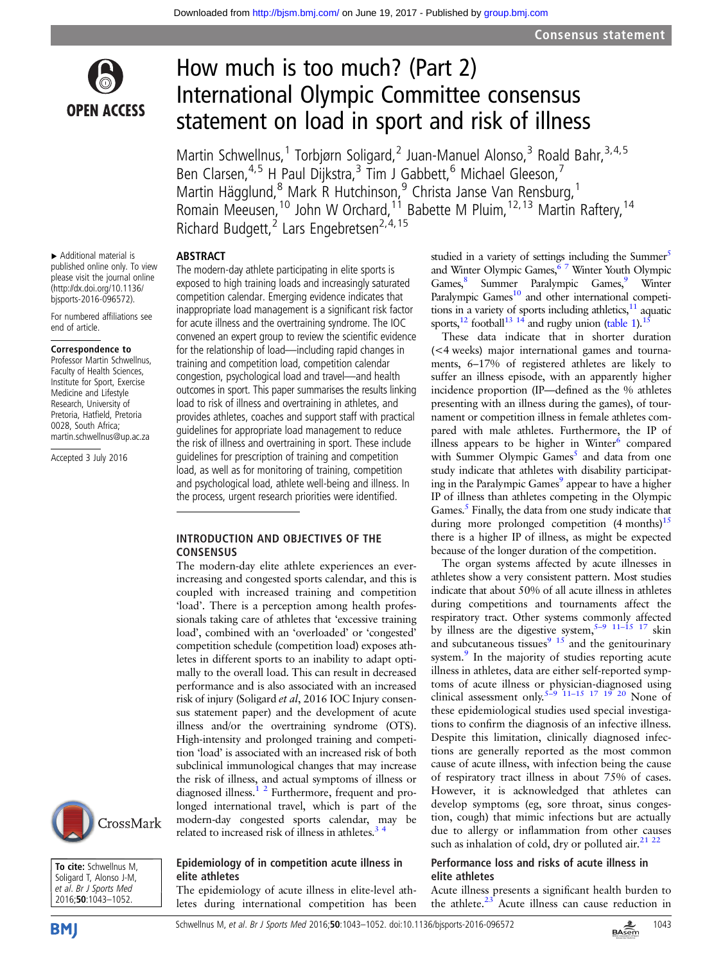

## How much is too much? (Part 2) International Olympic Committee consensus statement on load in sport and risk of illness

Martin Schwellnus,<sup>1</sup> Torbjørn Soligard,<sup>2</sup> Juan-Manuel Alonso,<sup>3</sup> Roald Bahr,<sup>3,4,5</sup> Ben Clarsen,<sup>4,5</sup> H Paul Dijkstra,<sup>3</sup> Tim J Gabbett,<sup>6</sup> Michael Gleeson,<sup>7</sup> Martin Hägglund, <sup>8</sup> Mark R Hutchinson, <sup>9</sup> Christa Janse Van Rensburg, <sup>1</sup> Romain Meeusen,<sup>10</sup> John W Orchard,<sup>11</sup> Babette M Pluim, <sup>12, 13</sup> Martin Raftery, <sup>14</sup> Richard Budgett,<sup>2</sup> Lars Engebretsen<sup>2,4,15</sup>

▸ Additional material is published online only. To view please visit the journal online [\(http://dx.doi.org/10.1136/](http://dx.doi.org/10.1136/bjsports-2016-096572) [bjsports-2016-096572](http://dx.doi.org/10.1136/bjsports-2016-096572)).

ABSTRACT

For numbered affiliations see end of article.

#### Correspondence to

Professor Martin Schwellnus, Faculty of Health Sciences, Institute for Sport, Exercise Medicine and Lifestyle Research, University of Pretoria, Hatfield, Pretoria 0028, South Africa; martin.schwellnus@up.ac.za

Accepted 3 July 2016

The modern-day athlete participating in elite sports is exposed to high training loads and increasingly saturated competition calendar. Emerging evidence indicates that inappropriate load management is a significant risk factor for acute illness and the overtraining syndrome. The IOC convened an expert group to review the scientific evidence for the relationship of load—including rapid changes in training and competition load, competition calendar congestion, psychological load and travel—and health outcomes in sport. This paper summarises the results linking load to risk of illness and overtraining in athletes, and provides athletes, coaches and support staff with practical guidelines for appropriate load management to reduce the risk of illness and overtraining in sport. These include guidelines for prescription of training and competition load, as well as for monitoring of training, competition and psychological load, athlete well-being and illness. In the process, urgent research priorities were identified.

#### INTRODUCTION AND OBJECTIVES OF THE **CONSENSUS**

The modern-day elite athlete experiences an everincreasing and congested sports calendar, and this is coupled with increased training and competition 'load'. There is a perception among health professionals taking care of athletes that 'excessive training load', combined with an 'overloaded' or 'congested' competition schedule (competition load) exposes athletes in different sports to an inability to adapt optimally to the overall load. This can result in decreased performance and is also associated with an increased risk of injury (Soligard et al, 2016 IOC Injury consensus statement paper) and the development of acute illness and/or the overtraining syndrome (OTS). High-intensity and prolonged training and competition 'load' is associated with an increased risk of both subclinical immunological changes that may increase the risk of illness, and actual symptoms of illness or diagnosed illness. $\frac{1}{2}$  Furthermore, frequent and prolonged international travel, which is part of the modern-day congested sports calendar, may be related to increased risk of illness in athletes.<sup>3</sup>

CrossMark



#### Epidemiology of in competition acute illness in elite athletes

The epidemiology of acute illness in elite-level athletes during international competition has been studied in a variety of settings including the Summer<sup>[5](#page-9-0)</sup> and Winter Olympic Games,<sup>67</sup> Winter Youth Olympic Games,<sup>8</sup> Summer Paralympic Games,<sup>9</sup> Winter Paralympic Games<sup>10</sup> and other international competitions in a variety of sports including athletics, $11$  aquatic sports,<sup>[12](#page-9-0)</sup> football<sup>[13 14](#page-9-0)</sup> and rugby union [\(table 1\)](#page-2-0).<sup>15</sup>

These data indicate that in shorter duration (<4 weeks) major international games and tournaments, 6–17% of registered athletes are likely to suffer an illness episode, with an apparently higher incidence proportion (IP—defined as the % athletes presenting with an illness during the games), of tournament or competition illness in female athletes compared with male athletes. Furthermore, the IP of illness appears to be higher in Winter<sup>[6](#page-9-0)</sup> compared with Summer Olympic Games<sup>[5](#page-9-0)</sup> and data from one study indicate that athletes with disability participat-ing in the Paralympic Games<sup>[9](#page-9-0)</sup> appear to have a higher IP of illness than athletes competing in the Olympic Games. $<sup>5</sup>$  Finally, the data from one study indicate that</sup> during more prolonged competition  $(4 \text{ months})^{15}$ there is a higher IP of illness, as might be expected because of the longer duration of the competition.

The organ systems affected by acute illnesses in athletes show a very consistent pattern. Most studies indicate that about 50% of all acute illness in athletes during competitions and tournaments affect the respiratory tract. Other systems commonly affected by illness are the digestive system,  $5-9$  [11](#page-9-0)–15 [17](#page-9-0) skin and subcutaneous tissues $9\frac{15}{2}$  and the genitourinary system.<sup>[9](#page-9-0)</sup> In the majority of studies reporting acute illness in athletes, data are either self-reported symptoms of acute illness or physician-diagnosed using clinical assessment only.<sup>5[–](#page-9-0)9</sup>  $\frac{11-15}{17}$   $\frac{17}{19}$   $\frac{19}{20}$  None of these epidemiological studies used special investigations to confirm the diagnosis of an infective illness. Despite this limitation, clinically diagnosed infections are generally reported as the most common cause of acute illness, with infection being the cause of respiratory tract illness in about 75% of cases. However, it is acknowledged that athletes can develop symptoms (eg, sore throat, sinus congestion, cough) that mimic infections but are actually due to allergy or inflammation from other causes such as inhalation of cold, dry or polluted air. $^{21}$   $^{22}$ 

#### Performance loss and risks of acute illness in elite athletes

Acute illness presents a significant health burden to the athlete. $23$  Acute illness can cause reduction in

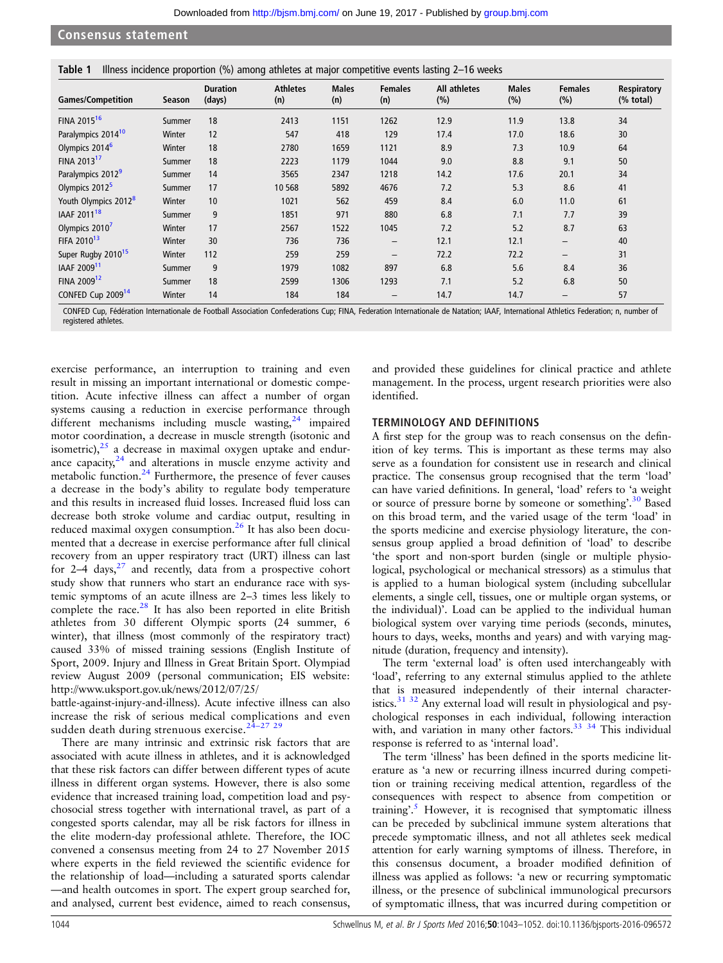#### <span id="page-2-0"></span>Consensus statement

|  |  |  | Table 1 Illness incidence proportion (%) among athletes at major competitive events lasting 2-16 weeks |
|--|--|--|--------------------------------------------------------------------------------------------------------|
|  |  |  |                                                                                                        |

| <b>Games/Competition</b>         | Season | <b>Duration</b><br>(days) | <b>Athletes</b><br>(n) | <b>Males</b><br>(n) | <b>Females</b><br>(n) | All athletes<br>(%) | <b>Males</b><br>(%) | <b>Females</b><br>(%)    | Respiratory<br>$(% \mathcal{L}_{0})$ (% total) |
|----------------------------------|--------|---------------------------|------------------------|---------------------|-----------------------|---------------------|---------------------|--------------------------|------------------------------------------------|
| FINA 2015 <sup>16</sup>          | Summer | 18                        | 2413                   | 1151                | 1262                  | 12.9                | 11.9                | 13.8                     | 34                                             |
| Paralympics 2014 <sup>10</sup>   | Winter | 12                        | 547                    | 418                 | 129                   | 17.4                | 17.0                | 18.6                     | 30                                             |
| Olympics 2014 <sup>6</sup>       | Winter | 18                        | 2780                   | 1659                | 1121                  | 8.9                 | 7.3                 | 10.9                     | 64                                             |
| FINA 2013 <sup>17</sup>          | Summer | 18                        | 2223                   | 1179                | 1044                  | 9.0                 | 8.8                 | 9.1                      | 50                                             |
| Paralympics 2012 <sup>9</sup>    | Summer | 14                        | 3565                   | 2347                | 1218                  | 14.2                | 17.6                | 20.1                     | 34                                             |
| Olympics 2012 <sup>5</sup>       | Summer | 17                        | 10 5 68                | 5892                | 4676                  | 7.2                 | 5.3                 | 8.6                      | 41                                             |
| Youth Olympics 2012 <sup>8</sup> | Winter | 10                        | 1021                   | 562                 | 459                   | 8.4                 | 6.0                 | 11.0                     | 61                                             |
| IAAF 2011 <sup>18</sup>          | Summer | 9                         | 1851                   | 971                 | 880                   | 6.8                 | 7.1                 | 7.7                      | 39                                             |
| Olympics 2010 <sup>7</sup>       | Winter | 17                        | 2567                   | 1522                | 1045                  | 7.2                 | 5.2                 | 8.7                      | 63                                             |
| FIFA 2010 <sup>13</sup>          | Winter | 30                        | 736                    | 736                 | $\qquad \qquad -$     | 12.1                | 12.1                | $\overline{\phantom{m}}$ | 40                                             |
| Super Rugby 2010 <sup>15</sup>   | Winter | 112                       | 259                    | 259                 | $\qquad \qquad -$     | 72.2                | 72.2                | $\overline{\phantom{m}}$ | 31                                             |
| IAAF 2009 <sup>11</sup>          | Summer | 9                         | 1979                   | 1082                | 897                   | 6.8                 | 5.6                 | 8.4                      | 36                                             |
| FINA 2009 <sup>12</sup>          | Summer | 18                        | 2599                   | 1306                | 1293                  | 7.1                 | 5.2                 | 6.8                      | 50                                             |
| CONFED Cup 2009 <sup>14</sup>    | Winter | 14                        | 184                    | 184                 | $\qquad \qquad -$     | 14.7                | 14.7                | $\overline{\phantom{m}}$ | 57                                             |

CONFED Cup, Fédération Internationale de Football Association Confederations Cup; FINA, Federation Internationale de Natation; IAAF, International Athletics Federation; n, number of registered athletes.

exercise performance, an interruption to training and even result in missing an important international or domestic competition. Acute infective illness can affect a number of organ systems causing a reduction in exercise performance through different mechanisms including muscle wasting,<sup>[24](#page-9-0)</sup> impaired motor coordination, a decrease in muscle strength (isotonic and isometric), $25$  a decrease in maximal oxygen uptake and endurance capacity, $24$  and alterations in muscle enzyme activity and metabolic function.<sup>[24](#page-9-0)</sup> Furthermore, the presence of fever causes a decrease in the body's ability to regulate body temperature and this results in increased fluid losses. Increased fluid loss can decrease both stroke volume and cardiac output, resulting in reduced maximal oxygen consumption. $26$  It has also been documented that a decrease in exercise performance after full clinical recovery from an upper respiratory tract (URT) illness can last for  $2-4$  days,<sup>[27](#page-9-0)</sup> and recently, data from a prospective cohort study show that runners who start an endurance race with systemic symptoms of an acute illness are 2–3 times less likely to complete the race.<sup>[28](#page-9-0)</sup> It has also been reported in elite British athletes from 30 different Olympic sports (24 summer, 6 winter), that illness (most commonly of the respiratory tract) caused 33% of missed training sessions (English Institute of Sport, 2009. Injury and Illness in Great Britain Sport. Olympiad review August 2009 (personal communication; EIS website: [http://www.uksport.gov.uk/news/2012/07/25/](http://www.uksport.gov.uk/news/2012/07/25/battle-against-injury-and-illness)

[battle-against-injury-and-illness\)](http://www.uksport.gov.uk/news/2012/07/25/battle-against-injury-and-illness). Acute infective illness can also increase the risk of serious medical complications and even sudden death during strenuous exercise. $24-27$  $24-27$  [29](#page-9-0)

There are many intrinsic and extrinsic risk factors that are associated with acute illness in athletes, and it is acknowledged that these risk factors can differ between different types of acute illness in different organ systems. However, there is also some evidence that increased training load, competition load and psychosocial stress together with international travel, as part of a congested sports calendar, may all be risk factors for illness in the elite modern-day professional athlete. Therefore, the IOC convened a consensus meeting from 24 to 27 November 2015 where experts in the field reviewed the scientific evidence for the relationship of load—including a saturated sports calendar —and health outcomes in sport. The expert group searched for, and analysed, current best evidence, aimed to reach consensus,

and provided these guidelines for clinical practice and athlete management. In the process, urgent research priorities were also identified.

#### TERMINOLOGY AND DEFINITIONS

A first step for the group was to reach consensus on the definition of key terms. This is important as these terms may also serve as a foundation for consistent use in research and clinical practice. The consensus group recognised that the term 'load' can have varied definitions. In general, 'load' refers to 'a weight or source of pressure borne by someone or something'.<sup>[30](#page-9-0)</sup> Based on this broad term, and the varied usage of the term 'load' in the sports medicine and exercise physiology literature, the consensus group applied a broad definition of 'load' to describe 'the sport and non-sport burden (single or multiple physiological, psychological or mechanical stressors) as a stimulus that is applied to a human biological system (including subcellular elements, a single cell, tissues, one or multiple organ systems, or the individual)'. Load can be applied to the individual human biological system over varying time periods (seconds, minutes, hours to days, weeks, months and years) and with varying magnitude (duration, frequency and intensity).

The term 'external load' is often used interchangeably with 'load', referring to any external stimulus applied to the athlete that is measured independently of their internal character-istics.<sup>[31 32](#page-9-0)</sup> Any external load will result in physiological and psychological responses in each individual, following interaction with, and variation in many other factors.<sup>33</sup> <sup>34</sup> This individual response is referred to as 'internal load'.

The term 'illness' has been defined in the sports medicine literature as 'a new or recurring illness incurred during competition or training receiving medical attention, regardless of the consequences with respect to absence from competition or training'.<sup>[5](#page-9-0)</sup> However, it is recognised that symptomatic illness can be preceded by subclinical immune system alterations that precede symptomatic illness, and not all athletes seek medical attention for early warning symptoms of illness. Therefore, in this consensus document, a broader modified definition of illness was applied as follows: 'a new or recurring symptomatic illness, or the presence of subclinical immunological precursors of symptomatic illness, that was incurred during competition or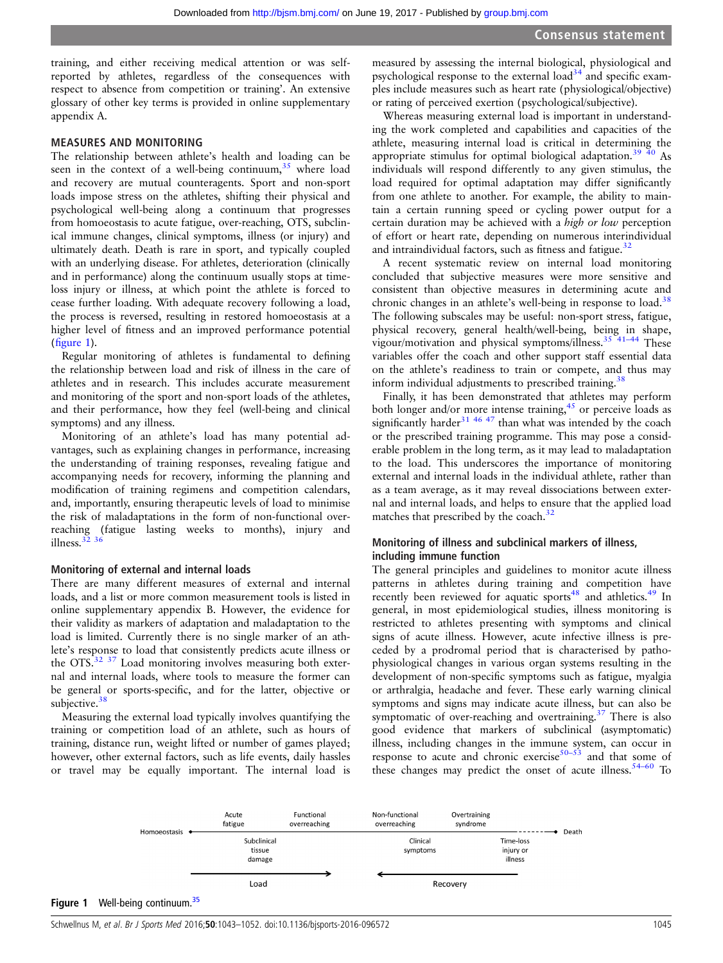training, and either receiving medical attention or was selfreported by athletes, regardless of the consequences with respect to absence from competition or training'. An extensive glossary of other key terms is provided in online [supplementary](http://dx.doi.org/10.1136/bjsports-2016-096572) [appendix](http://dx.doi.org/10.1136/bjsports-2016-096572) A.

#### MEASURES AND MONITORING

The relationship between athlete's health and loading can be seen in the context of a well-being continuum,  $35$  where load and recovery are mutual counteragents. Sport and non-sport loads impose stress on the athletes, shifting their physical and psychological well-being along a continuum that progresses from homoeostasis to acute fatigue, over-reaching, OTS, subclinical immune changes, clinical symptoms, illness (or injury) and ultimately death. Death is rare in sport, and typically coupled with an underlying disease. For athletes, deterioration (clinically and in performance) along the continuum usually stops at timeloss injury or illness, at which point the athlete is forced to cease further loading. With adequate recovery following a load, the process is reversed, resulting in restored homoeostasis at a higher level of fitness and an improved performance potential (figure 1).

Regular monitoring of athletes is fundamental to defining the relationship between load and risk of illness in the care of athletes and in research. This includes accurate measurement and monitoring of the sport and non-sport loads of the athletes, and their performance, how they feel (well-being and clinical symptoms) and any illness.

Monitoring of an athlete's load has many potential advantages, such as explaining changes in performance, increasing the understanding of training responses, revealing fatigue and accompanying needs for recovery, informing the planning and modification of training regimens and competition calendars, and, importantly, ensuring therapeutic levels of load to minimise the risk of maladaptations in the form of non-functional overreaching (fatigue lasting weeks to months), injury and illness. $3236$ 

#### Monitoring of external and internal loads

There are many different measures of external and internal loads, and a list or more common measurement tools is listed in online [supplementary appendix](http://dx.doi.org/10.1136/bjsports-2016-096572) B. However, the evidence for their validity as markers of adaptation and maladaptation to the load is limited. Currently there is no single marker of an athlete's response to load that consistently predicts acute illness or the OTS.<sup>[32 37](#page-9-0)</sup> Load monitoring involves measuring both external and internal loads, where tools to measure the former can be general or sports-specific, and for the latter, objective or subjective. $38$ 

Measuring the external load typically involves quantifying the training or competition load of an athlete, such as hours of training, distance run, weight lifted or number of games played; however, other external factors, such as life events, daily hassles or travel may be equally important. The internal load is

measured by assessing the internal biological, physiological and psychological response to the external load<sup>[34](#page-9-0)</sup> and specific examples include measures such as heart rate (physiological/objective) or rating of perceived exertion (psychological/subjective).

Whereas measuring external load is important in understanding the work completed and capabilities and capacities of the athlete, measuring internal load is critical in determining the appropriate stimulus for optimal biological adaptation.<sup>39</sup>  $40$  As individuals will respond differently to any given stimulus, the load required for optimal adaptation may differ significantly from one athlete to another. For example, the ability to maintain a certain running speed or cycling power output for a certain duration may be achieved with a high or low perception of effort or heart rate, depending on numerous interindividual and intraindividual factors, such as fitness and fatigue.<sup>[32](#page-9-0)</sup>

A recent systematic review on internal load monitoring concluded that subjective measures were more sensitive and consistent than objective measures in determining acute and chronic changes in an athlete's well-being in response to load.<sup>[38](#page-9-0)</sup> The following subscales may be useful: non-sport stress, fatigue, physical recovery, general health/well-being, being in shape, vigour/motivation and physical symptoms/illness.<sup>35 41-44</sup> These variables offer the coach and other support staff essential data on the athlete's readiness to train or compete, and thus may inform individual adjustments to prescribed training.<sup>38</sup>

Finally, it has been demonstrated that athletes may perform both longer and/or more intense training,<sup>[45](#page-9-0)</sup> or perceive loads as significantly harder<sup>[31 46 47](#page-9-0)</sup> than what was intended by the coach or the prescribed training programme. This may pose a considerable problem in the long term, as it may lead to maladaptation to the load. This underscores the importance of monitoring external and internal loads in the individual athlete, rather than as a team average, as it may reveal dissociations between external and internal loads, and helps to ensure that the applied load matches that prescribed by the coach. $32$ 

#### Monitoring of illness and subclinical markers of illness, including immune function

The general principles and guidelines to monitor acute illness patterns in athletes during training and competition have recently been reviewed for aquatic sports<sup>48</sup> and athletics.<sup>[49](#page-9-0)</sup> In general, in most epidemiological studies, illness monitoring is restricted to athletes presenting with symptoms and clinical signs of acute illness. However, acute infective illness is preceded by a prodromal period that is characterised by pathophysiological changes in various organ systems resulting in the development of non-specific symptoms such as fatigue, myalgia or arthralgia, headache and fever. These early warning clinical symptoms and signs may indicate acute illness, but can also be symptomatic of over-reaching and overtraining. $37$  There is also good evidence that markers of subclinical (asymptomatic) illness, including changes in the immune system, can occur in response to acute and chronic exercise $50-53$  $50-53$  and that some of these changes may predict the onset of acute illness.<sup>54–[60](#page-10-0)</sup> To

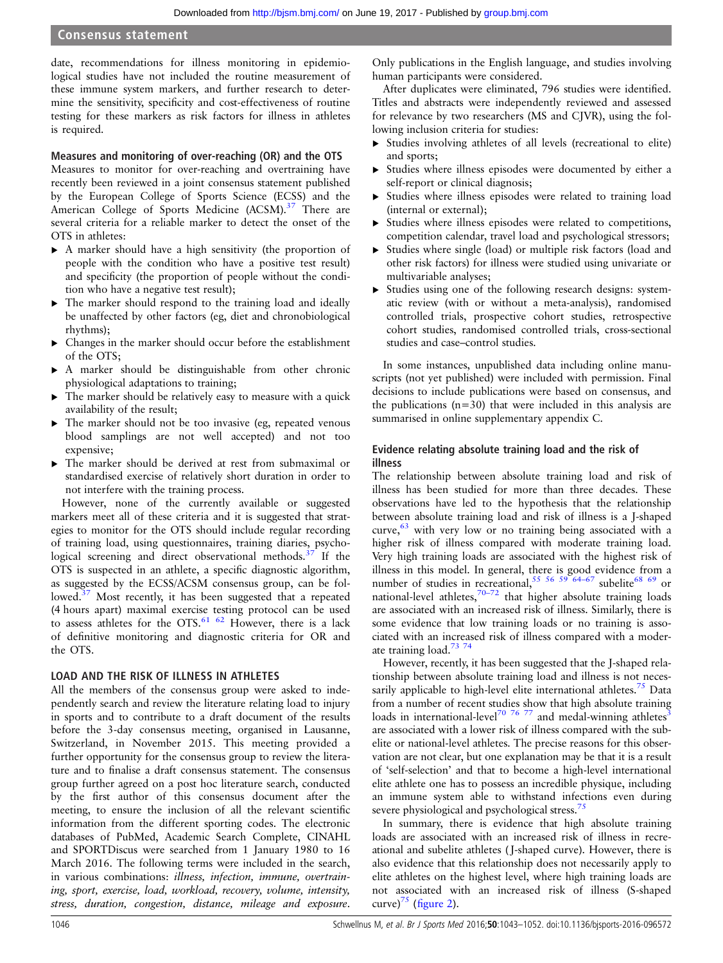#### Consensus statement

date, recommendations for illness monitoring in epidemiological studies have not included the routine measurement of these immune system markers, and further research to determine the sensitivity, specificity and cost-effectiveness of routine testing for these markers as risk factors for illness in athletes is required.

#### Measures and monitoring of over-reaching (OR) and the OTS

Measures to monitor for over-reaching and overtraining have recently been reviewed in a joint consensus statement published by the European College of Sports Science (ECSS) and the American College of Sports Medicine (ACSM).<sup>37</sup> There are several criteria for a reliable marker to detect the onset of the OTS in athletes:

- ▶ A marker should have a high sensitivity (the proportion of people with the condition who have a positive test result) and specificity (the proportion of people without the condition who have a negative test result);
- ▶ The marker should respond to the training load and ideally be unaffected by other factors (eg, diet and chronobiological rhythms);
- ▸ Changes in the marker should occur before the establishment of the OTS;
- ▸ A marker should be distinguishable from other chronic physiological adaptations to training;
- ▸ The marker should be relatively easy to measure with a quick availability of the result;
- ▸ The marker should not be too invasive (eg, repeated venous blood samplings are not well accepted) and not too expensive;
- ▸ The marker should be derived at rest from submaximal or standardised exercise of relatively short duration in order to not interfere with the training process.

However, none of the currently available or suggested markers meet all of these criteria and it is suggested that strategies to monitor for the OTS should include regular recording of training load, using questionnaires, training diaries, psychological screening and direct observational methods. $37$  If the OTS is suspected in an athlete, a specific diagnostic algorithm, as suggested by the ECSS/ACSM consensus group, can be followed.<sup>37</sup> Most recently, it has been suggested that a repeated (4 hours apart) maximal exercise testing protocol can be used to assess athletes for the OTS.<sup>[61 62](#page-10-0)</sup> However, there is a lack of definitive monitoring and diagnostic criteria for OR and the OTS.

#### LOAD AND THE RISK OF ILLNESS IN ATHLETES

All the members of the consensus group were asked to independently search and review the literature relating load to injury in sports and to contribute to a draft document of the results before the 3-day consensus meeting, organised in Lausanne, Switzerland, in November 2015. This meeting provided a further opportunity for the consensus group to review the literature and to finalise a draft consensus statement. The consensus group further agreed on a post hoc literature search, conducted by the first author of this consensus document after the meeting, to ensure the inclusion of all the relevant scientific information from the different sporting codes. The electronic databases of PubMed, Academic Search Complete, CINAHL and SPORTDiscus were searched from 1 January 1980 to 16 March 2016. The following terms were included in the search, in various combinations: illness, infection, immune, overtraining, sport, exercise, load, workload, recovery, volume, intensity, stress, duration, congestion, distance, mileage and exposure.

Only publications in the English language, and studies involving human participants were considered.

After duplicates were eliminated, 796 studies were identified. Titles and abstracts were independently reviewed and assessed for relevance by two researchers (MS and CJVR), using the following inclusion criteria for studies:

- ▸ Studies involving athletes of all levels (recreational to elite) and sports;
- Studies where illness episodes were documented by either a self-report or clinical diagnosis;
- Studies where illness episodes were related to training load (internal or external);
- ▸ Studies where illness episodes were related to competitions, competition calendar, travel load and psychological stressors;
- Studies where single (load) or multiple risk factors (load and other risk factors) for illness were studied using univariate or multivariable analyses;
- ▸ Studies using one of the following research designs: systematic review (with or without a meta-analysis), randomised controlled trials, prospective cohort studies, retrospective cohort studies, randomised controlled trials, cross-sectional studies and case–control studies.

In some instances, unpublished data including online manuscripts (not yet published) were included with permission. Final decisions to include publications were based on consensus, and the publications  $(n=30)$  that were included in this analysis are summarised in online [supplementary appendix](http://dx.doi.org/10.1136/bjsports-2016-096572) C.

#### Evidence relating absolute training load and the risk of illness

The relationship between absolute training load and risk of illness has been studied for more than three decades. These observations have led to the hypothesis that the relationship between absolute training load and risk of illness is a J-shaped curve,  $63$  with very low or no training being associated with a higher risk of illness compared with moderate training load. Very high training loads are associated with the highest risk of illness in this model. In general, there is good evidence from a number of studies in recreational,  $55\,56\,59\,64-67$  $55\,56\,59\,64-67$  subelite<sup>[68 69](#page-10-0)</sup> or national-level athletes, $70-72$  $70-72$  that higher absolute training loads are associated with an increased risk of illness. Similarly, there is some evidence that low training loads or no training is associated with an increased risk of illness compared with a moderate training load[.73 74](#page-10-0)

However, recently, it has been suggested that the J-shaped relationship between absolute training load and illness is not neces-sarily applicable to high-level elite international athletes.<sup>[75](#page-10-0)</sup> Data from a number of recent studies show that high absolute training loads in international-level<sup>[70 76 77](#page-10-0)</sup> and medal-winning athletes<sup>[3](#page-9-0)</sup> are associated with a lower risk of illness compared with the subelite or national-level athletes. The precise reasons for this observation are not clear, but one explanation may be that it is a result of 'self-selection' and that to become a high-level international elite athlete one has to possess an incredible physique, including an immune system able to withstand infections even during severe physiological and psychological stress.<sup>[75](#page-10-0)</sup>

In summary, there is evidence that high absolute training loads are associated with an increased risk of illness in recreational and subelite athletes ( J-shaped curve). However, there is also evidence that this relationship does not necessarily apply to elite athletes on the highest level, where high training loads are not associated with an increased risk of illness (S-shaped curve)<sup>75</sup> (fi[gure 2](#page-5-0)).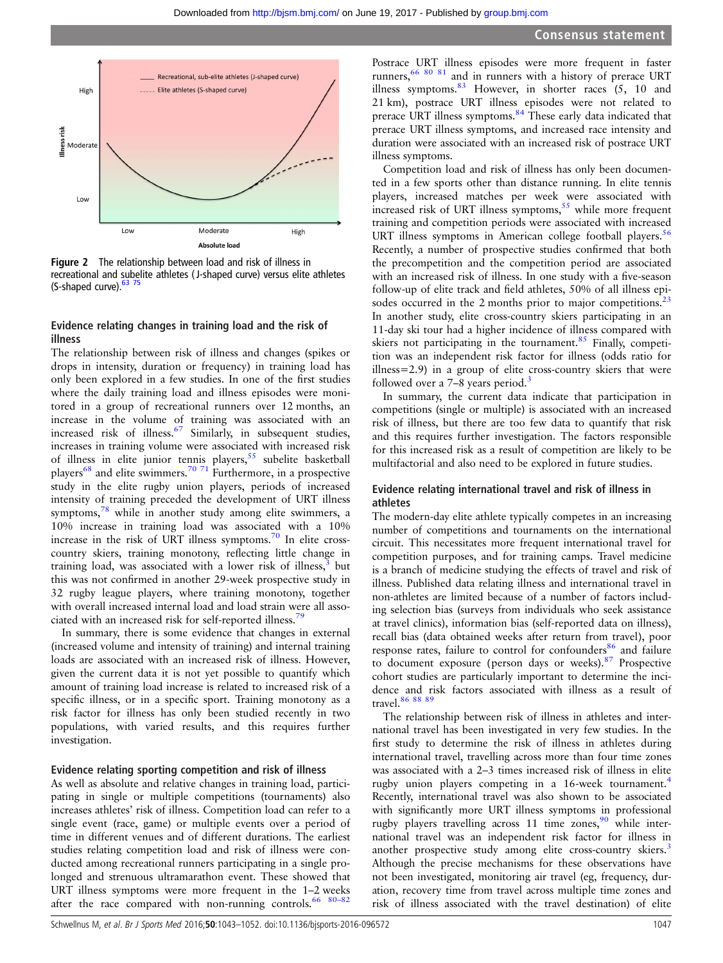<span id="page-5-0"></span>

Figure 2 The relationship between load and risk of illness in recreational and subelite athletes ( J-shaped curve) versus elite athletes (S-shaped curve). 63 75

#### Evidence relating changes in training load and the risk of illness

The relationship between risk of illness and changes (spikes or drops in intensity, duration or frequency) in training load has only been explored in a few studies. In one of the first studies where the daily training load and illness episodes were monitored in a group of recreational runners over 12 months, an increase in the volume of training was associated with an increased risk of illness.<sup>[67](#page-10-0)</sup> Similarly, in subsequent studies, increases in training volume were associated with increased risk of illness in elite junior tennis players,  $55$  subelite basketball players<sup>[68](#page-10-0)</sup> and elite swimmers.<sup>[70 71](#page-10-0)</sup> Furthermore, in a prospective study in the elite rugby union players, periods of increased intensity of training preceded the development of URT illness symptoms,<sup>[78](#page-10-0)</sup> while in another study among elite swimmers, a 10% increase in training load was associated with a 10% increase in the risk of URT illness symptoms[.70](#page-10-0) In elite crosscountry skiers, training monotony, reflecting little change in training load, was associated with a lower risk of illness, $3$  but this was not confirmed in another 29-week prospective study in 32 rugby league players, where training monotony, together with overall increased internal load and load strain were all asso-ciated with an increased risk for self-reported illness.<sup>[79](#page-10-0)</sup>

In summary, there is some evidence that changes in external (increased volume and intensity of training) and internal training loads are associated with an increased risk of illness. However, given the current data it is not yet possible to quantify which amount of training load increase is related to increased risk of a specific illness, or in a specific sport. Training monotony as a risk factor for illness has only been studied recently in two populations, with varied results, and this requires further investigation.

#### Evidence relating sporting competition and risk of illness

As well as absolute and relative changes in training load, participating in single or multiple competitions (tournaments) also increases athletes' risk of illness. Competition load can refer to a single event (race, game) or multiple events over a period of time in different venues and of different durations. The earliest studies relating competition load and risk of illness were conducted among recreational runners participating in a single prolonged and strenuous ultramarathon event. These showed that URT illness symptoms were more frequent in the 1–2 weeks after the race compared with non-running controls.<sup>66</sup> 80-82

Postrace URT illness episodes were more frequent in faster runners,[66 80 81](#page-10-0) and in runners with a history of prerace URT illness symptoms. $83$  However, in shorter races (5, 10 and 21 km), postrace URT illness episodes were not related to prerace URT illness symptoms.<sup>[84](#page-10-0)</sup> These early data indicated that prerace URT illness symptoms, and increased race intensity and duration were associated with an increased risk of postrace URT illness symptoms.

Competition load and risk of illness has only been documented in a few sports other than distance running. In elite tennis players, increased matches per week were associated with increased risk of URT illness symptoms, $55$  while more frequent training and competition periods were associated with increased URT illness symptoms in American college football players.<sup>[56](#page-10-0)</sup> Recently, a number of prospective studies confirmed that both the precompetition and the competition period are associated with an increased risk of illness. In one study with a five-season follow-up of elite track and field athletes, 50% of all illness episodes occurred in the 2 months prior to major competitions. $^{23}$  $^{23}$  $^{23}$ In another study, elite cross-country skiers participating in an 11-day ski tour had a higher incidence of illness compared with skiers not participating in the tournament. $85$  Finally, competition was an independent risk factor for illness (odds ratio for illness=2.9) in a group of elite cross-country skiers that were followed over a  $7-8$  years period.<sup>[3](#page-9-0)</sup>

In summary, the current data indicate that participation in competitions (single or multiple) is associated with an increased risk of illness, but there are too few data to quantify that risk and this requires further investigation. The factors responsible for this increased risk as a result of competition are likely to be multifactorial and also need to be explored in future studies.

#### Evidence relating international travel and risk of illness in athletes

The modern-day elite athlete typically competes in an increasing number of competitions and tournaments on the international circuit. This necessitates more frequent international travel for competition purposes, and for training camps. Travel medicine is a branch of medicine studying the effects of travel and risk of illness. Published data relating illness and international travel in non-athletes are limited because of a number of factors including selection bias (surveys from individuals who seek assistance at travel clinics), information bias (self-reported data on illness), recall bias (data obtained weeks after return from travel), poor response rates, failure to control for confounders<sup>[86](#page-10-0)</sup> and failure to document exposure (person days or weeks).<sup>[87](#page-10-0)</sup> Prospective cohort studies are particularly important to determine the incidence and risk factors associated with illness as a result of travel.<sup>86</sup> 88 89

The relationship between risk of illness in athletes and international travel has been investigated in very few studies. In the first study to determine the risk of illness in athletes during international travel, travelling across more than four time zones was associated with a 2–3 times increased risk of illness in elite rugby union players competing in a 16-week tournament.<sup>[4](#page-9-0)</sup> Recently, international travel was also shown to be associated with significantly more URT illness symptoms in professional rugby players travelling across 11 time zones, $90$  while international travel was an independent risk factor for illness in another prospective study among elite cross-country skiers.<sup>[3](#page-9-0)</sup> Although the precise mechanisms for these observations have not been investigated, monitoring air travel (eg, frequency, duration, recovery time from travel across multiple time zones and risk of illness associated with the travel destination) of elite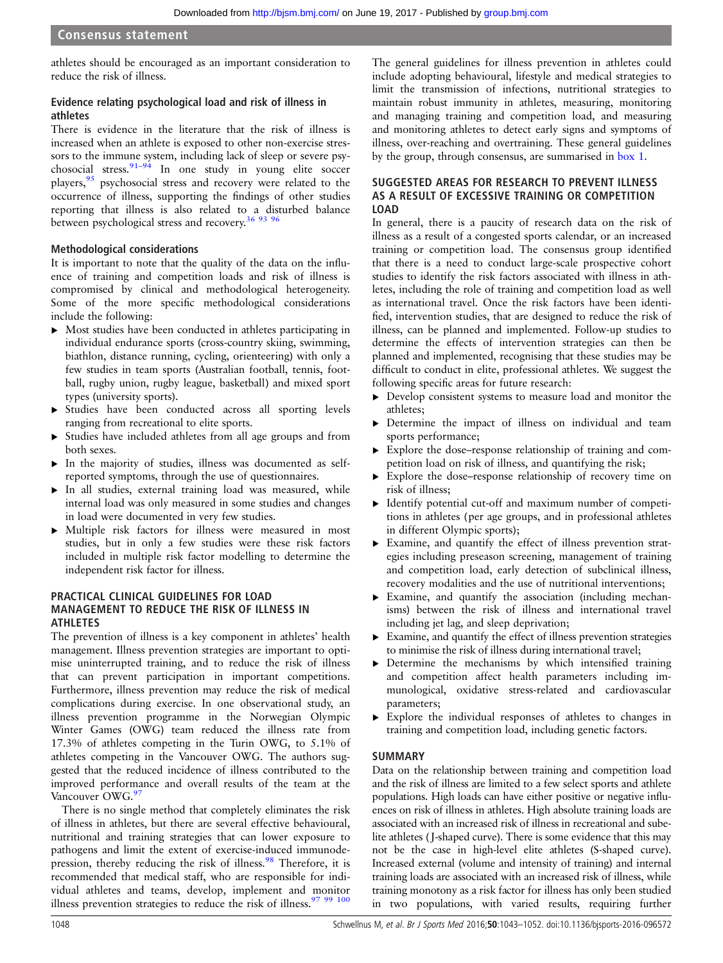athletes should be encouraged as an important consideration to reduce the risk of illness.

#### Evidence relating psychological load and risk of illness in athletes

There is evidence in the literature that the risk of illness is increased when an athlete is exposed to other non-exercise stressors to the immune system, including lack of sleep or severe psychosocial stress.  $91-94$  $91-94$  In one study in young elite soccer players, <sup>[95](#page-10-0)</sup> psychosocial stress and recovery were related to the occurrence of illness, supporting the findings of other studies reporting that illness is also related to a disturbed balance between psychological stress and recovery.<sup>[36](#page-9-0) [93 96](#page-10-0)</sup>

#### Methodological considerations

It is important to note that the quality of the data on the influence of training and competition loads and risk of illness is compromised by clinical and methodological heterogeneity. Some of the more specific methodological considerations include the following:

- ▸ Most studies have been conducted in athletes participating in individual endurance sports (cross-country skiing, swimming, biathlon, distance running, cycling, orienteering) with only a few studies in team sports (Australian football, tennis, football, rugby union, rugby league, basketball) and mixed sport types (university sports).
- ▸ Studies have been conducted across all sporting levels ranging from recreational to elite sports.
- ▸ Studies have included athletes from all age groups and from both sexes.
- ▸ In the majority of studies, illness was documented as selfreported symptoms, through the use of questionnaires.
- ▸ In all studies, external training load was measured, while internal load was only measured in some studies and changes in load were documented in very few studies.
- ▸ Multiple risk factors for illness were measured in most studies, but in only a few studies were these risk factors included in multiple risk factor modelling to determine the independent risk factor for illness.

#### PRACTICAL CLINICAL GUIDELINES FOR LOAD MANAGEMENT TO REDUCE THE RISK OF ILLNESS IN ATHLETES

The prevention of illness is a key component in athletes' health management. Illness prevention strategies are important to optimise uninterrupted training, and to reduce the risk of illness that can prevent participation in important competitions. Furthermore, illness prevention may reduce the risk of medical complications during exercise. In one observational study, an illness prevention programme in the Norwegian Olympic Winter Games (OWG) team reduced the illness rate from 17.3% of athletes competing in the Turin OWG, to 5.1% of athletes competing in the Vancouver OWG. The authors suggested that the reduced incidence of illness contributed to the improved performance and overall results of the team at the Vancouver OWG.<sup>9</sup>

There is no single method that completely eliminates the risk of illness in athletes, but there are several effective behavioural, nutritional and training strategies that can lower exposure to pathogens and limit the extent of exercise-induced immunode-pression, thereby reducing the risk of illness.<sup>[98](#page-10-0)</sup> Therefore, it is recommended that medical staff, who are responsible for individual athletes and teams, develop, implement and monitor illness prevention strategies to reduce the risk of illness.  $97\frac{99\frac{100}{100}}{200\frac{1}{100}}$ 

The general guidelines for illness prevention in athletes could include adopting behavioural, lifestyle and medical strategies to limit the transmission of infections, nutritional strategies to maintain robust immunity in athletes, measuring, monitoring and managing training and competition load, and measuring and monitoring athletes to detect early signs and symptoms of illness, over-reaching and overtraining. These general guidelines by the group, through consensus, are summarised in [box 1.](#page-8-0)

#### SUGGESTED AREAS FOR RESEARCH TO PREVENT ILLNESS AS A RESULT OF EXCESSIVE TRAINING OR COMPETITION LOAD

In general, there is a paucity of research data on the risk of illness as a result of a congested sports calendar, or an increased training or competition load. The consensus group identified that there is a need to conduct large-scale prospective cohort studies to identify the risk factors associated with illness in athletes, including the role of training and competition load as well as international travel. Once the risk factors have been identified, intervention studies, that are designed to reduce the risk of illness, can be planned and implemented. Follow-up studies to determine the effects of intervention strategies can then be planned and implemented, recognising that these studies may be difficult to conduct in elite, professional athletes. We suggest the following specific areas for future research:

- ▸ Develop consistent systems to measure load and monitor the athletes;
- ▸ Determine the impact of illness on individual and team sports performance;
- ▸ Explore the dose–response relationship of training and competition load on risk of illness, and quantifying the risk;
- ▸ Explore the dose–response relationship of recovery time on risk of illness;
- ▸ Identify potential cut-off and maximum number of competitions in athletes (per age groups, and in professional athletes in different Olympic sports);
- ▸ Examine, and quantify the effect of illness prevention strategies including preseason screening, management of training and competition load, early detection of subclinical illness, recovery modalities and the use of nutritional interventions;
- ▸ Examine, and quantify the association (including mechanisms) between the risk of illness and international travel including jet lag, and sleep deprivation;
- ▸ Examine, and quantify the effect of illness prevention strategies to minimise the risk of illness during international travel;
- ▸ Determine the mechanisms by which intensified training and competition affect health parameters including immunological, oxidative stress-related and cardiovascular parameters;
- ▸ Explore the individual responses of athletes to changes in training and competition load, including genetic factors.

#### SUMMARY

Data on the relationship between training and competition load and the risk of illness are limited to a few select sports and athlete populations. High loads can have either positive or negative influences on risk of illness in athletes. High absolute training loads are associated with an increased risk of illness in recreational and subelite athletes ( J-shaped curve). There is some evidence that this may not be the case in high-level elite athletes (S-shaped curve). Increased external (volume and intensity of training) and internal training loads are associated with an increased risk of illness, while training monotony as a risk factor for illness has only been studied in two populations, with varied results, requiring further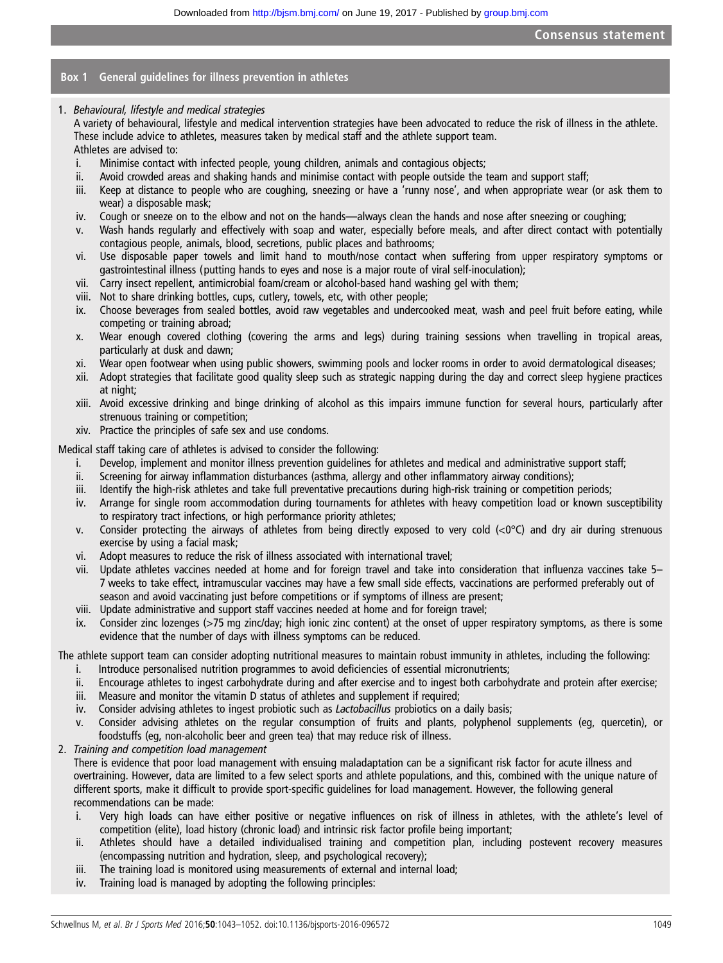#### Box 1 General guidelines for illness prevention in athletes

1. Behavioural, lifestyle and medical strategies

A variety of behavioural, lifestyle and medical intervention strategies have been advocated to reduce the risk of illness in the athlete. These include advice to athletes, measures taken by medical staff and the athlete support team. Athletes are advised to:

- i. Minimise contact with infected people, young children, animals and contagious objects;
- ii. Avoid crowded areas and shaking hands and minimise contact with people outside the team and support staff;
- iii. Keep at distance to people who are coughing, sneezing or have a 'runny nose', and when appropriate wear (or ask them to wear) a disposable mask;
- iv. Cough or sneeze on to the elbow and not on the hands—always clean the hands and nose after sneezing or coughing;
- Wash hands regularly and effectively with soap and water, especially before meals, and after direct contact with potentially contagious people, animals, blood, secretions, public places and bathrooms;
- vi. Use disposable paper towels and limit hand to mouth/nose contact when suffering from upper respiratory symptoms or gastrointestinal illness (putting hands to eyes and nose is a major route of viral self-inoculation);
- vii. Carry insect repellent, antimicrobial foam/cream or alcohol-based hand washing gel with them;
- viii. Not to share drinking bottles, cups, cutlery, towels, etc, with other people;
- ix. Choose beverages from sealed bottles, avoid raw vegetables and undercooked meat, wash and peel fruit before eating, while competing or training abroad;
- x. Wear enough covered clothing (covering the arms and legs) during training sessions when travelling in tropical areas, particularly at dusk and dawn;
- xi. Wear open footwear when using public showers, swimming pools and locker rooms in order to avoid dermatological diseases;
- xii. Adopt strategies that facilitate good quality sleep such as strategic napping during the day and correct sleep hygiene practices at night;
- xiii. Avoid excessive drinking and binge drinking of alcohol as this impairs immune function for several hours, particularly after strenuous training or competition;
- xiv. Practice the principles of safe sex and use condoms.

Medical staff taking care of athletes is advised to consider the following:

- i. Develop, implement and monitor illness prevention guidelines for athletes and medical and administrative support staff;
- ii. Screening for airway inflammation disturbances (asthma, allergy and other inflammatory airway conditions);
- iii. Identify the high-risk athletes and take full preventative precautions during high-risk training or competition periods;
- iv. Arrange for single room accommodation during tournaments for athletes with heavy competition load or known susceptibility to respiratory tract infections, or high performance priority athletes;
- v. Consider protecting the airways of athletes from being directly exposed to very cold  $\langle <0$  and dry air during strenuous exercise by using a facial mask;
- vi. Adopt measures to reduce the risk of illness associated with international travel;
- vii. Update athletes vaccines needed at home and for foreign travel and take into consideration that influenza vaccines take 5– 7 weeks to take effect, intramuscular vaccines may have a few small side effects, vaccinations are performed preferably out of season and avoid vaccinating just before competitions or if symptoms of illness are present;
- viii. Update administrative and support staff vaccines needed at home and for foreign travel;
- ix. Consider zinc lozenges (>75 mg zinc/day; high ionic zinc content) at the onset of upper respiratory symptoms, as there is some evidence that the number of days with illness symptoms can be reduced.

The athlete support team can consider adopting nutritional measures to maintain robust immunity in athletes, including the following:

- i. Introduce personalised nutrition programmes to avoid deficiencies of essential micronutrients;
- ii. Encourage athletes to ingest carbohydrate during and after exercise and to ingest both carbohydrate and protein after exercise;
- iii. Measure and monitor the vitamin D status of athletes and supplement if required;
- iv. Consider advising athletes to ingest probiotic such as *Lactobacillus* probiotics on a daily basis;
- v. Consider advising athletes on the regular consumption of fruits and plants, polyphenol supplements (eg, quercetin), or foodstuffs (eg, non-alcoholic beer and green tea) that may reduce risk of illness.
- 2. Training and competition load management

There is evidence that poor load management with ensuing maladaptation can be a significant risk factor for acute illness and overtraining. However, data are limited to a few select sports and athlete populations, and this, combined with the unique nature of different sports, make it difficult to provide sport-specific guidelines for load management. However, the following general recommendations can be made:

- i. Very high loads can have either positive or negative influences on risk of illness in athletes, with the athlete's level of competition (elite), load history (chronic load) and intrinsic risk factor profile being important;
- ii. Athletes should have a detailed individualised training and competition plan, including postevent recovery measures (encompassing nutrition and hydration, sleep, and psychological recovery);
- iii. The training load is monitored using measurements of external and internal load;
- iv. Training load is managed by adopting the following principles: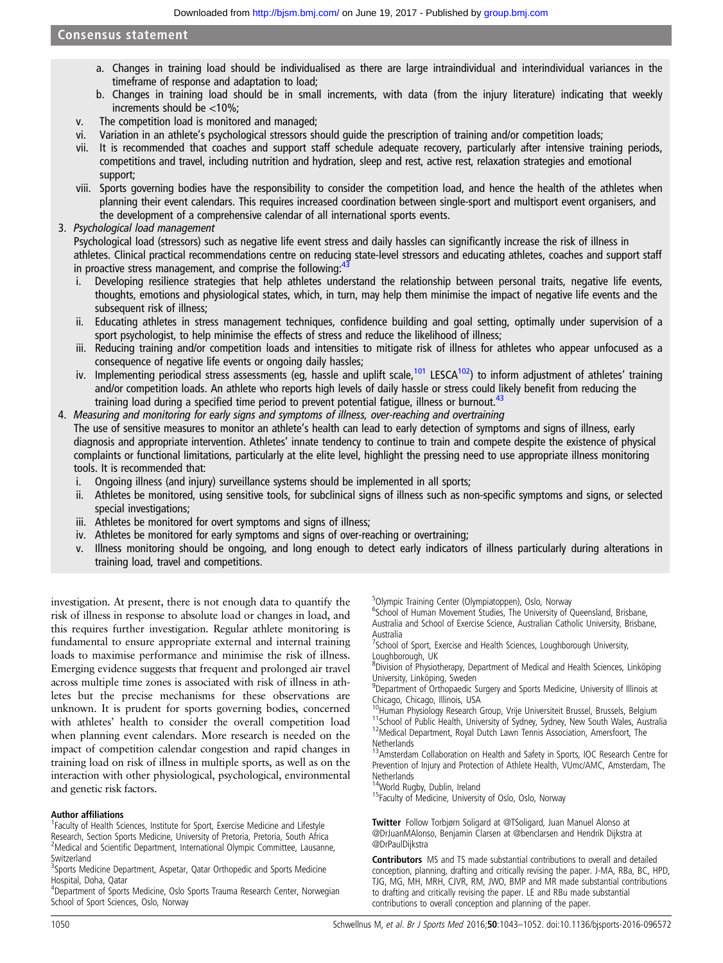- <span id="page-8-0"></span>a. Changes in training load should be individualised as there are large intraindividual and interindividual variances in the timeframe of response and adaptation to load;
- b. Changes in training load should be in small increments, with data (from the injury literature) indicating that weekly increments should be <10%;
- v. The competition load is monitored and managed;
- vi. Variation in an athlete's psychological stressors should guide the prescription of training and/or competition loads;
- vii. It is recommended that coaches and support staff schedule adequate recovery, particularly after intensive training periods, competitions and travel, including nutrition and hydration, sleep and rest, active rest, relaxation strategies and emotional support;
- viii. Sports governing bodies have the responsibility to consider the competition load, and hence the health of the athletes when planning their event calendars. This requires increased coordination between single-sport and multisport event organisers, and the development of a comprehensive calendar of all international sports events.
- 3. Psychological load management

Psychological load (stressors) such as negative life event stress and daily hassles can significantly increase the risk of illness in athletes. Clinical practical recommendations centre on reducing state-level stressors and educating athletes, coaches and support staff in proactive stress management, and comprise the following:

- i. Developing resilience strategies that help athletes understand the relationship between personal traits, negative life events, thoughts, emotions and physiological states, which, in turn, may help them minimise the impact of negative life events and the subsequent risk of illness;
- ii. Educating athletes in stress management techniques, confidence building and goal setting, optimally under supervision of a sport psychologist, to help minimise the effects of stress and reduce the likelihood of illness;
- iii. Reducing training and/or competition loads and intensities to mitigate risk of illness for athletes who appear unfocused as a consequence of negative life events or ongoing daily hassles;
- iv. Implementing periodical stress assessments (eg, hassle and uplift scale,<sup>[101](#page-10-0)</sup> LESCA<sup>102</sup>) to inform adjustment of athletes' training and/or competition loads. An athlete who reports high levels of daily hassle or stress could likely benefit from reducing the training load during a specified time period to prevent potential fatigue, illness or burnout.<sup>[43](#page-9-0)</sup>
- 4. Measuring and monitoring for early signs and symptoms of illness, over-reaching and overtraining The use of sensitive measures to monitor an athlete's health can lead to early detection of symptoms and signs of illness, early diagnosis and appropriate intervention. Athletes' innate tendency to continue to train and compete despite the existence of physical complaints or functional limitations, particularly at the elite level, highlight the pressing need to use appropriate illness monitoring tools. It is recommended that:
	- i. Ongoing illness (and injury) surveillance systems should be implemented in all sports;
	- ii. Athletes be monitored, using sensitive tools, for subclinical signs of illness such as non-specific symptoms and signs, or selected special investigations;
	- iii. Athletes be monitored for overt symptoms and signs of illness;
	- iv. Athletes be monitored for early symptoms and signs of over-reaching or overtraining;
	- v. Illness monitoring should be ongoing, and long enough to detect early indicators of illness particularly during alterations in training load, travel and competitions.

investigation. At present, there is not enough data to quantify the risk of illness in response to absolute load or changes in load, and this requires further investigation. Regular athlete monitoring is fundamental to ensure appropriate external and internal training loads to maximise performance and minimise the risk of illness. Emerging evidence suggests that frequent and prolonged air travel across multiple time zones is associated with risk of illness in athletes but the precise mechanisms for these observations are unknown. It is prudent for sports governing bodies, concerned with athletes' health to consider the overall competition load when planning event calendars. More research is needed on the impact of competition calendar congestion and rapid changes in training load on risk of illness in multiple sports, as well as on the interaction with other physiological, psychological, environmental and genetic risk factors.

#### Author affiliations <sup>1</sup>

<sup>1</sup> Faculty of Health Sciences, Institute for Sport, Exercise Medicine and Lifestyle Research, Section Sports Medicine, University of Pretoria, Pretoria, South Africa <sup>2</sup>Medical and Scientific Department, International Olympic Committee, Lausanne, Switzerland

<sup>3</sup>Sports Medicine Department, Aspetar, Qatar Orthopedic and Sports Medicine Hospital, Doha, Qatar

<sup>4</sup>Department of Sports Medicine, Oslo Sports Trauma Research Center, Norwegian School of Sport Sciences, Oslo, Norway

<sup>5</sup>Olympic Training Center (Olympiatoppen), Oslo, Norway

<sup>6</sup>School of Human Movement Studies, The University of Queensland, Brisbane, Australia and School of Exercise Science, Australian Catholic University, Brisbane, Australia

<sup>7</sup>School of Sport, Exercise and Health Sciences, Loughborough University, Loughborough, UK

<sup>8</sup>Division of Physiotherapy, Department of Medical and Health Sciences, Linköping University, Linköping, Sweden

<sup>9</sup>Department of Orthopaedic Surgery and Sports Medicine, University of Illinois at

Chicago, Chicago, Illinois, USA<br><sup>10</sup>Human Physiology Research Group, Vrije Universiteit Brussel, Brussels, Belgium <sup>11</sup>School of Public Health, University of Sydney, Sydney, New South Wales, Australia<br><sup>12</sup>Medical Department, Royal Dutch Lawn Tennis Association, Amersfoort, The **Netherlands** 

<sup>13</sup> Amsterdam Collaboration on Health and Safety in Sports, IOC Research Centre for Prevention of Injury and Protection of Athlete Health, VUmc/AMC, Amsterdam, The Netherlands<br><sup>14</sup>World Rugby, Dublin, Ireland

<sup>15</sup>Faculty of Medicine, University of Oslo, Oslo, Norway

**Twitter** Follow Torbiørn Soligard at [@TSoligard](http://twitter.com/TSoligard), Juan Manuel Alonso at [@DrJuanMAlonso](http://twitter.com/DrJuanMAlonso), Benjamin Clarsen at [@benclarsen](http://twitter.com/benclarsen) and Hendrik Dijkstra at [@DrPaulDijkstra](http://twitter.com/DrPaulDijkstra)

Contributors MS and TS made substantial contributions to overall and detailed conception, planning, drafting and critically revising the paper. J-MA, RBa, BC, HPD, TJG, MG, MH, MRH, CJVR, RM, JWO, BMP and MR made substantial contributions to drafting and critically revising the paper. LE and RBu made substantial contributions to overall conception and planning of the paper.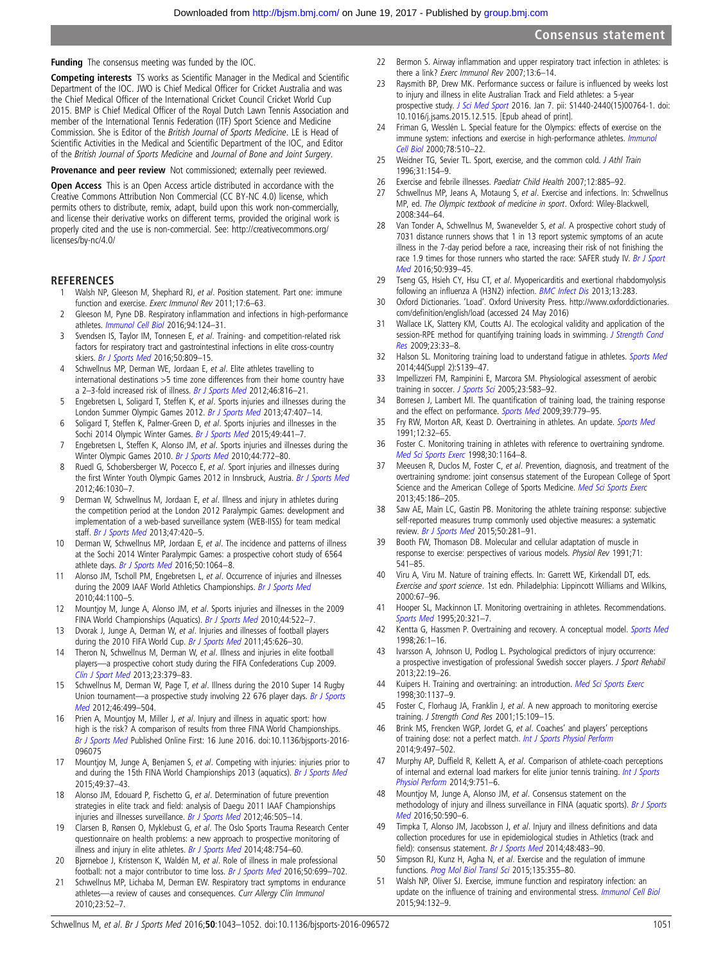<span id="page-9-0"></span>Funding The consensus meeting was funded by the IOC.

Competing interests TS works as Scientific Manager in the Medical and Scientific Department of the IOC. JWO is Chief Medical Officer for Cricket Australia and was the Chief Medical Officer of the International Cricket Council Cricket World Cup 2015. BMP is Chief Medical Officer of the Royal Dutch Lawn Tennis Association and member of the International Tennis Federation (ITF) Sport Science and Medicine Commission. She is Editor of the British Journal of Sports Medicine. LE is Head of Scientific Activities in the Medical and Scientific Department of the IOC, and Editor of the British Journal of Sports Medicine and Journal of Bone and Joint Surgery.

Provenance and peer review Not commissioned; externally peer reviewed.

Open Access This is an Open Access article distributed in accordance with the Creative Commons Attribution Non Commercial (CC BY-NC 4.0) license, which permits others to distribute, remix, adapt, build upon this work non-commercially, and license their derivative works on different terms, provided the original work is properly cited and the use is non-commercial. See: [http://creativecommons.org/](http://creativecommons.org/licenses/by-nc/4.0/) [licenses/by-nc/4.0/](http://creativecommons.org/licenses/by-nc/4.0/)

#### **REFERENCES**

- 1 Walsh NP, Gleeson M, Shephard RJ, et al. Position statement. Part one: immune function and exercise. Exerc Immunol Rev 2011;17:6–63.
- Gleeson M, Pyne DB. Respiratory inflammation and infections in high-performance athletes. [Immunol Cell Biol](http://dx.doi.org/10.1038/icb.2015.100) 2016;94:124–31.
- 3 Svendsen IS, Taylor IM, Tonnesen E, et al. Training- and competition-related risk factors for respiratory tract and gastrointestinal infections in elite cross-country skiers. [Br J Sports Med](http://dx.doi.org/10.1136/bjsports-2015-095398) 2016;50:809-15.
- Schwellnus MP, Derman WE, Jordaan E, et al. Elite athletes travelling to international destinations >5 time zone differences from their home country have a 2-3-fold increased risk of illness. [Br J Sports Med](http://dx.doi.org/10.1136/bjsports-2012-091395) 2012;46:816-21.
- 5 Engebretsen L, Soligard T, Steffen K, et al. Sports injuries and illnesses during the London Summer Olympic Games 2012. [Br J Sports Med](http://dx.doi.org/10.1136/bjsports-2013-092380) 2013;47:407–14.
- 6 Soligard T, Steffen K, Palmer-Green D, et al. Sports injuries and illnesses in the Sochi 2014 Olympic Winter Games. [Br J Sports Med](http://dx.doi.org/10.1136/bjsports-2014-094538) 2015;49:441-7.
- 7 Engebretsen L, Steffen K, Alonso JM, et al. Sports injuries and illnesses during the Winter Olympic Games 2010. [Br J Sports Med](http://dx.doi.org/10.1136/bjsm.2010.076992) 2010;44:772-80.
- 8 Ruedl G, Schobersberger W, Pocecco E, et al. Sport injuries and illnesses during the first Winter Youth Olympic Games 2012 in Innsbruck, Austria. [Br J Sports Med](http://dx.doi.org/10.1136/bjsports-2012-091534) 2012;46:1030–7.
- 9 Derman W, Schwellnus M, Jordaan E, et al. Illness and injury in athletes during the competition period at the London 2012 Paralympic Games: development and implementation of a web-based surveillance system (WEB-IISS) for team medical staff. [Br J Sports Med](http://dx.doi.org/10.1136/bjsports-2013-092375) 2013;47:420-5.
- 10 Derman W, Schwellnus MP, Jordaan E, et al. The incidence and patterns of illness at the Sochi 2014 Winter Paralympic Games: a prospective cohort study of 6564 athlete days. [Br J Sports Med](http://dx.doi.org/10.1136/bjsports-2016-096215) 2016;50:1064-8.
- 11 Alonso JM, Tscholl PM, Engebretsen L, et al. Occurrence of injuries and illnesses during the 2009 IAAF World Athletics Championships. [Br J Sports Med](http://dx.doi.org/10.1136/bjsm.2010.078030) 2010;44:1100–5.
- 12 Mountjoy M, Junge A, Alonso JM, et al. Sports injuries and illnesses in the 2009 FINA World Championships (Aquatics). [Br J Sports Med](http://dx.doi.org/10.1136/bjsm.2010.071720) 2010;44:522-7.
- 13 Dvorak J, Junge A, Derman W, et al. Injuries and illnesses of football players during the 2010 FIFA World Cup. [Br J Sports Med](http://dx.doi.org/10.1136/bjsm.2010.079905) 2011;45:626-30.
- 14 Theron N, Schwellnus M, Derman W, et al. Illness and injuries in elite football players—a prospective cohort study during the FIFA Confederations Cup 2009. [Clin J Sport Med](http://dx.doi.org/10.1097/JSM.0b013e31828b0a10) 2013;23:379–83.
- 15 Schwellnus M, Derman W, Page T, et al. Illness during the 2010 Super 14 Rugby Union tournament—a prospective study involving 22 676 player days. [Br J Sports](http://dx.doi.org/10.1136/bjsports-2012-091046) [Med](http://dx.doi.org/10.1136/bjsports-2012-091046) 2012;46:499–504.
- 16 Prien A, Mountjoy M, Miller J, et al. Injury and illness in aquatic sport: how high is the risk? A comparison of results from three FINA World Championships. [Br J Sports Med](http://dx.doi.org/10.1136/bjsports-2016-096075) Published Online First: 16 June 2016. doi:10.1136/bjsports-2016- 096075
- 17 Mountjoy M, Junge A, Benjamen S, et al. Competing with injuries: injuries prior to and during the 15th FINA World Championships 2013 (aquatics). [Br J Sports Med](http://dx.doi.org/10.1136/bjsports-2014-093991) 2015;49:37–43.
- 18 Alonso JM, Edouard P, Fischetto G, et al. Determination of future prevention strategies in elite track and field: analysis of Daegu 2011 IAAF Championships injuries and illnesses surveillance. [Br J Sports Med](http://dx.doi.org/10.1136/bjsports-2012-091008) 2012;46:505-14.
- Clarsen B, Rønsen O, Myklebust G, et al. The Oslo Sports Trauma Research Center questionnaire on health problems: a new approach to prospective monitoring of illness and injury in elite athletes. [Br J Sports Med](http://dx.doi.org/10.1136/bjsports-2012-092087) 2014;48:754-60.
- 20 Bjørneboe J, Kristenson K, Waldén M, et al. Role of illness in male professional football: not a major contributor to time loss. [Br J Sports Med](http://dx.doi.org/10.1136/bjsports-2015-095921) 2016;50:699-702.
- 21 Schwellnus MP, Lichaba M, Derman EW. Respiratory tract symptoms in endurance athletes—a review of causes and consequences. Curr Allergy Clin Immunol 2010;23:52–7.
- 22 Bermon S. Airway inflammation and upper respiratory tract infection in athletes: is there a link? Exerc Immunol Rev 2007;13:6–14.
- 23 Raysmith BP, Drew MK. Performance success or failure is influenced by weeks lost to injury and illness in elite Australian Track and Field athletes: a 5-year prospective study. [J Sci Med Sport](http://dx.doi.org/10.1016/j.jsams.2015.12.515) 2016. Jan 7. pii: S1440-2440(15)00764-1. doi: 10.1016/j.jsams.2015.12.515. [Epub ahead of print].
- 24 Friman G, Wesslén L. Special feature for the Olympics: effects of exercise on the immune system: infections and exercise in high-performance athletes. *[Immunol](http://dx.doi.org/10.1111/j.1440-1711.2000.t01-12-.x)* [Cell Biol](http://dx.doi.org/10.1111/j.1440-1711.2000.t01-12-.x) 2000;78:510–22.
- 25 Weidner TG, Sevier TL. Sport, exercise, and the common cold. J Athl Train 1996;31:154–9.
- 26 Exercise and febrile illnesses. Paediatr Child Health 2007;12:885–92.
- 27 Schwellnus MP, Jeans A, Motaung S, et al. Exercise and infections. In: Schwellnus MP, ed. The Olympic textbook of medicine in sport. Oxford: Wiley-Blackwell, 2008:344–64.
- 28 Van Tonder A, Schwellnus M, Swanevelder S, et al. A prospective cohort study of 7031 distance runners shows that 1 in 13 report systemic symptoms of an acute illness in the 7-day period before a race, increasing their risk of not finishing the race 1.9 times for those runners who started the race: SAFER study IV. [Br J Sport](http://dx.doi.org/10.1136/bjsports-2016-096190) [Med](http://dx.doi.org/10.1136/bjsports-2016-096190) 2016;50:939–45.
- 29 Tseng GS, Hsieh CY, Hsu CT, et al. Myopericarditis and exertional rhabdomyolysis following an influenza A (H3N2) infection. [BMC Infect Dis](http://dx.doi.org/10.1186/1471-2334-13-283) 2013;13:283.
- 30 Oxford Dictionaries. 'Load'. Oxford University Press. http://www.oxforddictionaries. com/definition/english/load (accessed 24 May 2016)
- 31 Wallace LK, Slattery KM, Coutts AJ. The ecological validity and application of the session-RPE method for quantifying training loads in swimming. [J Strength Cond](http://dx.doi.org/10.1519/JSC.0b013e3181874512) [Res](http://dx.doi.org/10.1519/JSC.0b013e3181874512) 2009;23:33–8.
- 32 Halson SL. Monitoring training load to understand fatigue in athletes. [Sports Med](http://dx.doi.org/10.1007/s40279-014-0253-z) 2014;44(Suppl 2):S139–47.
- 33 Impellizzeri FM, Rampinini E, Marcora SM. Physiological assessment of aerobic training in soccer. [J Sports Sci](http://dx.doi.org/10.1080/02640410400021278) 2005;23:583-92.
- 34 Borresen J, Lambert MI. The quantification of training load, the training response and the effect on performance. [Sports Med](http://dx.doi.org/10.2165/11317780-000000000-00000) 2009;39:779-95.
- 35 Fry RW, Morton AR, Keast D. Overtraining in athletes. An update. [Sports Med](http://dx.doi.org/10.2165/00007256-199112010-00004) 1991;12:32–65.
- 36 Foster C. Monitoring training in athletes with reference to overtraining syndrome. [Med Sci Sports Exerc](http://dx.doi.org/10.1097/00005768-199807000-00023) 1998;30:1164–8.
- 37 Meeusen R, Duclos M, Foster C, et al. Prevention, diagnosis, and treatment of the overtraining syndrome: joint consensus statement of the European College of Sport Science and the American College of Sports Medicine. [Med Sci Sports Exerc](http://dx.doi.org/10.1249/MSS.0b013e318279a10a) 2013;45:186–205.
- 38 Saw AE, Main LC, Gastin PB. Monitoring the athlete training response: subjective self-reported measures trump commonly used objective measures: a systematic review. [Br J Sports Med](http://dx.doi.org/10.1136/bjsports-2015-094758) 2015;50:281-91.
- Booth FW, Thomason DB. Molecular and cellular adaptation of muscle in response to exercise: perspectives of various models. Physiol Rev 1991;71: 541–85.
- 40 Viru A, Viru M. Nature of training effects. In: Garrett WE, Kirkendall DT, eds. Exercise and sport science. 1st edn. Philadelphia: Lippincott Williams and Wilkins, 2000:67–96.
- 41 Hooper SL, Mackinnon LT. Monitoring overtraining in athletes. Recommendations. [Sports Med](http://dx.doi.org/10.2165/00007256-199520050-00003) 1995;20:321–7.
- 42 Kentta G, Hassmen P. Overtraining and recovery. A conceptual model. [Sports Med](http://dx.doi.org/10.2165/00007256-199826010-00001) 1998;26:1–16.
- 43 Ivarsson A, Johnson U, Podlog L. Psychological predictors of injury occurrence: a prospective investigation of professional Swedish soccer players. J Sport Rehabil 2013;22:19–26.
- 44 Kuipers H. Training and overtraining: an introduction. [Med Sci Sports Exerc](http://dx.doi.org/10.1097/00005768-199807000-00018) 1998;30:1137–9.
- 45 Foster C, Florhaug JA, Franklin J, et al. A new approach to monitoring exercise training. J Strength Cond Res 2001;15:109–15.
- 46 Brink MS, Frencken WGP, Jordet G, et al. Coaches' and players' perceptions of training dose: not a perfect match. [Int J Sports Physiol Perform](http://dx.doi.org/10.1123/ijspp.2013-0009) 2014;9:497–502.
- Murphy AP, Duffield R, Kellett A, et al. Comparison of athlete-coach perceptions of internal and external load markers for elite junior tennis training. [Int J Sports](http://dx.doi.org/10.1123/ijspp2013-0364) [Physiol Perform](http://dx.doi.org/10.1123/ijspp2013-0364) 2014;9:751–6.
- 48 Mountjoy M, Junge A, Alonso JM, et al. Consensus statement on the methodology of injury and illness surveillance in FINA (aquatic sports). [Br J Sports](http://dx.doi.org/10.1136/bjsports-2015-095686) [Med](http://dx.doi.org/10.1136/bjsports-2015-095686) 2016;50:590–6.
- 49 Timpka T, Alonso JM, Jacobsson J, et al. Injury and illness definitions and data collection procedures for use in epidemiological studies in Athletics (track and field): consensus statement. [Br J Sports Med](http://dx.doi.org/10.1136/bjsports-2013-093241) 2014;48:483-90.
- 50 Simpson RJ, Kunz H, Agha N, et al. Exercise and the regulation of immune functions. [Prog Mol Biol Transl Sci](http://dx.doi.org/10.1016/bs.pmbts.2015.08.001) 2015;135:355-80.
- 51 Walsh NP, Oliver SJ. Exercise, immune function and respiratory infection: an update on the influence of training and environmental stress. *[Immunol Cell Biol](http://dx.doi.org/10.1038/icb.2015.99)* 2015;94:132–9.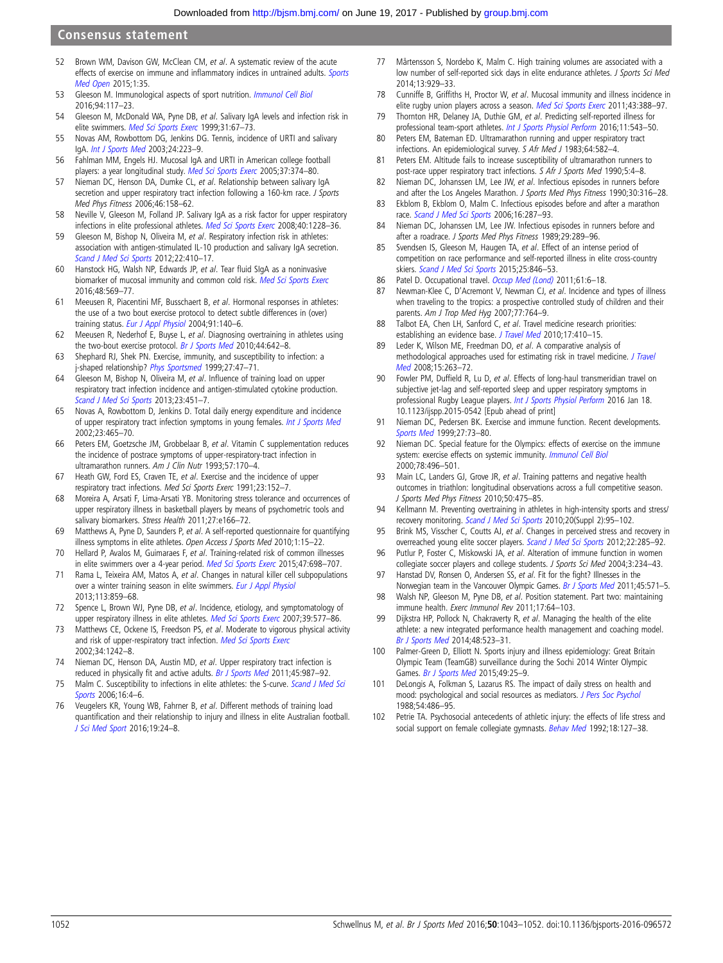#### <span id="page-10-0"></span>Consensus statement

- 52 Brown WM, Davison GW, McClean CM, et al. A systematic review of the acute effects of exercise on immune and inflammatory indices in untrained adults. [Sports](http://dx.doi.org/10.1186/s40798-015-0032-x) [Med Open](http://dx.doi.org/10.1186/s40798-015-0032-x) 2015;1:35.
- 53 Gleeson M. Immunological aspects of sport nutrition. [Immunol Cell Biol](http://dx.doi.org/10.1038/icb.2015.109) 2016;94:117–23.
- 54 Gleeson M, McDonald WA, Pyne DB, et al. Salivary IgA levels and infection risk in elite swimmers. [Med Sci Sports Exerc](http://dx.doi.org/10.1097/00005768-199901000-00012) 1999;31:67-73.
- 55 Novas AM, Rowbottom DG, Jenkins DG. Tennis, incidence of URTI and salivary IgA. [Int J Sports Med](http://dx.doi.org/10.1055/s-2003-39096) 2003;24:223–9.
- 56 Fahlman MM, Engels HJ. Mucosal IgA and URTI in American college football players: a year longitudinal study. [Med Sci Sports Exerc](http://dx.doi.org/10.1249/01.MSS.0000155432.67020.88) 2005;37:374-80.
- 57 Nieman DC, Henson DA, Dumke CL, et al. Relationship between salivary IgA secretion and upper respiratory tract infection following a 160-km race. J Sports Med Phys Fitness 2006;46:158–62.
- 58 Neville V, Gleeson M, Folland JP. Salivary IgA as a risk factor for upper respiratory infections in elite professional athletes. [Med Sci Sports Exerc](http://dx.doi.org/10.1249/MSS.0b013e31816be9c3) 2008;40:1228-36.
- 59 Gleeson M, Bishop N, Oliveira M, et al. Respiratory infection risk in athletes: association with antigen-stimulated IL-10 production and salivary IgA secretion. [Scand J Med Sci Sports](http://dx.doi.org/10.1111/j.1600-0838.2010.01272.x) 2012;22:410–17.
- 60 Hanstock HG, Walsh NP, Edwards JP, et al. Tear fluid SIgA as a noninvasive biomarker of mucosal immunity and common cold risk. [Med Sci Sports Exerc](http://dx.doi.org/10.1249/MSS.0000000000000801) 2016;48:569–77.
- 61 Meeusen R, Piacentini MF, Busschaert B, et al. Hormonal responses in athletes: the use of a two bout exercise protocol to detect subtle differences in (over) training status. [Eur J Appl Physiol](http://dx.doi.org/10.1007/s00421-003-0940-1) 2004;91:140-6.
- 62 Meeusen R, Nederhof E, Buyse L, et al. Diagnosing overtraining in athletes using the two-bout exercise protocol. [Br J Sports Med](http://dx.doi.org/10.1136/bjsm.2008.049981) 2010;44:642-8.
- 63 Shephard RJ, Shek PN. Exercise, immunity, and susceptibility to infection: a j-shaped relationship? [Phys Sportsmed](http://dx.doi.org/10.3810/psm.1999.06.873) 1999;27:47-71.
- Gleeson M, Bishop N, Oliveira M, et al. Influence of training load on upper respiratory tract infection incidence and antigen-stimulated cytokine production. [Scand J Med Sci Sports](http://dx.doi.org/10.1111/j.1600-0838.2011.01422.x) 2013;23:451–7.
- 65 Novas A, Rowbottom D, Jenkins D. Total daily energy expenditure and incidence of upper respiratory tract infection symptoms in young females. [Int J Sports Med](http://dx.doi.org/10.1055/s-2002-35075) 2002;23:465–70.
- 66 Peters EM, Goetzsche JM, Grobbelaar B, et al. Vitamin C supplementation reduces the incidence of postrace symptoms of upper-respiratory-tract infection in ultramarathon runners. Am J Clin Nutr 1993;57:170–4.
- 67 Heath GW, Ford ES, Craven TE, et al. Exercise and the incidence of upper respiratory tract infections. Med Sci Sports Exerc 1991;23:152–7.
- 68 Moreira A, Arsati F, Lima-Arsati YB. Monitoring stress tolerance and occurrences of upper respiratory illness in basketball players by means of psychometric tools and salivary biomarkers. Stress Health 2011;27:e166–72.
- 69 Matthews A, Pyne D, Saunders P, et al. A self-reported questionnaire for quantifying illness symptoms in elite athletes. Open Access J Sports Med 2010;1:15–22.
- 70 Hellard P, Avalos M, Guimaraes F, et al. Training-related risk of common illnesses in elite swimmers over a 4-year period. [Med Sci Sports Exerc](http://dx.doi.org/10.1249/MSS.0000000000000461) 2015;47:698-707.
- 71 Rama L, Teixeira AM, Matos A, et al. Changes in natural killer cell subpopulations over a winter training season in elite swimmers. [Eur J Appl Physiol](http://dx.doi.org/10.1007/s00421-012-2490-x) 2013;113:859–68.
- 72 Spence L, Brown WJ, Pyne DB, et al. Incidence, etiology, and symptomatology of upper respiratory illness in elite athletes. [Med Sci Sports Exerc](http://dx.doi.org/10.1249/mss.0b013e31802e851a) 2007;39:577-86.
- 73 Matthews CE, Ockene IS, Freedson PS, et al. Moderate to vigorous physical activity and risk of upper-respiratory tract infection. [Med Sci Sports Exerc](http://dx.doi.org/10.1097/00005768-200208000-00003) 2002;34:1242–8.
- 74 Nieman DC, Henson DA, Austin MD, et al. Upper respiratory tract infection is reduced in physically fit and active adults. [Br J Sports Med](http://dx.doi.org/10.1136/bjsm.2010.077875) 2011;45:987-92.
- 75 Malm C. Susceptibility to infections in elite athletes: the S-curve. [Scand J Med Sci](http://dx.doi.org/10.1111/j.1600-0838.2005.00499.x) [Sports](http://dx.doi.org/10.1111/j.1600-0838.2005.00499.x) 2006;16:4–6.
- 76 Veugelers KR, Young WB, Fahrner B, et al. Different methods of training load quantification and their relationship to injury and illness in elite Australian football. [J Sci Med Sport](http://dx.doi.org/10.1016/j.jsams.2015.01.001) 2016;19:24–8.
- 77 Mårtensson S, Nordebo K, Malm C. High training volumes are associated with a low number of self-reported sick days in elite endurance athletes. J Sports Sci Med 2014;13:929–33.
- 78 Cunniffe B, Griffiths H, Proctor W, et al. Mucosal immunity and illness incidence in elite rugby union players across a season. [Med Sci Sports Exerc](http://dx.doi.org/10.1249/MSS.0b013e3181ef9d6b) 2011;43:388-97.
- 79 Thornton HR, Delaney JA, Duthie GM, et al. Predicting self-reported illness for professional team-sport athletes. [Int J Sports Physiol Perform](http://dx.doi.org/10.1123/ijspp.2015-0330) 2016;11:543-50.
- 80 Peters EM, Bateman ED. Ultramarathon running and upper respiratory tract infections. An epidemiological survey. S Afr Med J 1983;64:582–4.
- 81 Peters EM. Altitude fails to increase susceptibility of ultramarathon runners to post-race upper respiratory tract infections. S Afr J Sports Med 1990;5:4–8.
- 82 Nieman DC, Johanssen LM, Lee JW, et al. Infectious episodes in runners before and after the Los Angeles Marathon. J Sports Med Phys Fitness 1990;30:316–28.
- 83 Ekblom B, Ekblom O, Malm C. Infectious episodes before and after a marathon race. [Scand J Med Sci Sports](http://dx.doi.org/10.1111/j.1600-0838.2005.00490.x) 2006;16:287-93.
- 84 Nieman DC, Johanssen LM, Lee JW. Infectious episodes in runners before and after a roadrace. J Sports Med Phys Fitness 1989;29:289–96.
- 85 Svendsen IS, Gleeson M, Haugen TA, et al. Effect of an intense period of competition on race performance and self-reported illness in elite cross-country skiers. [Scand J Med Sci Sports](http://dx.doi.org/10.1111/sms.12452) 2015;25:846-53.
- 86 Patel D. Occupational travel. [Occup Med \(Lond\)](http://dx.doi.org/10.1093/occmed/kqq163) 2011;61:6-18.
- Newman-Klee C, D'Acremont V, Newman CJ, et al. Incidence and types of illness when traveling to the tropics: a prospective controlled study of children and their parents. Am J Trop Med Hyg 2007;77:764–9.
- 88 Talbot EA, Chen LH, Sanford C, et al. Travel medicine research priorities: establishing an evidence base. [J Travel Med](http://dx.doi.org/10.1111/j.1708-8305.2010.00466.x) 2010;17:410-15.
- 89 Leder K, Wilson ME, Freedman DO, et al. A comparative analysis of methodological approaches used for estimating risk in travel medicine. [J Travel](http://dx.doi.org/10.1111/j.1708-8305.2008.00218.x) [Med](http://dx.doi.org/10.1111/j.1708-8305.2008.00218.x) 2008;15:263–72.
- 90 Fowler PM, Duffield R, Lu D, et al. Effects of long-haul transmeridian travel on subjective jet-lag and self-reported sleep and upper respiratory symptoms in professional Rugby League players. [Int J Sports Physiol Perform](http://dx.doi.org/10.1123/ijspp.2015-0542) 2016 Jan 18. 10.1123/ijspp.2015-0542 [Epub ahead of print]
- 91 Nieman DC, Pedersen BK. Exercise and immune function. Recent developments. [Sports Med](http://dx.doi.org/10.2165/00007256-199927020-00001) 1999;27:73–80.
- 92 Nieman DC. Special feature for the Olympics: effects of exercise on the immune system: exercise effects on systemic immunity. [Immunol Cell Biol](http://dx.doi.org/10.1111/j.1440-1711.2000.t01-5-.x) 2000;78:496–501.
- 93 Main LC, Landers GJ, Grove JR, et al. Training patterns and negative health outcomes in triathlon: longitudinal observations across a full competitive season. J Sports Med Phys Fitness 2010;50:475–85.
- 94 Kellmann M. Preventing overtraining in athletes in high-intensity sports and stress/ recovery monitoring. [Scand J Med Sci Sports](http://dx.doi.org/10.1111/j.1600-0838.2010.01192.x) 2010;20(Suppl 2):95–102.
- 95 Brink MS, Visscher C, Coutts AJ, et al. Changes in perceived stress and recovery in overreached young elite soccer players. [Scand J Med Sci Sports](http://dx.doi.org/10.1111/j.1600-0838.2010.01237.x) 2012;22:285-92.
- 96 Putlur P, Foster C, Miskowski JA, et al. Alteration of immune function in women collegiate soccer players and college students. J Sports Sci Med 2004;3:234-43.
- 97 Hanstad DV, Ronsen O, Andersen SS, et al. Fit for the fight? Illnesses in the Norwegian team in the Vancouver Olympic Games. [Br J Sports Med](http://dx.doi.org/10.1136/bjsm.2010.081364) 2011;45:571-5.
- 98 Walsh NP, Gleeson M, Pyne DB, et al. Position statement. Part two: maintaining immune health. Exerc Immunol Rev 2011;17:64–103.
- 99 Dijkstra HP, Pollock N, Chakraverty R, et al. Managing the health of the elite athlete: a new integrated performance health management and coaching model. [Br J Sports Med](http://dx.doi.org/10.1136/bjsports-2013-093222) 2014;48:523–31.
- 100 Palmer-Green D, Elliott N. Sports injury and illness epidemiology: Great Britain Olympic Team (TeamGB) surveillance during the Sochi 2014 Winter Olympic Games. [Br J Sports Med](http://dx.doi.org/10.1136/bjsports-2014-094206) 2015;49:25-9.
- 101 DeLongis A, Folkman S, Lazarus RS. The impact of daily stress on health and mood: psychological and social resources as mediators. [J Pers Soc Psychol](http://dx.doi.org/10.1037/0022-3514.54.3.486) 1988;54:486–95.
- 102 Petrie TA. Psychosocial antecedents of athletic injury: the effects of life stress and social support on female collegiate gymnasts. [Behav Med](http://dx.doi.org/10.1080/08964289.1992.9936963) 1992;18:127-38.